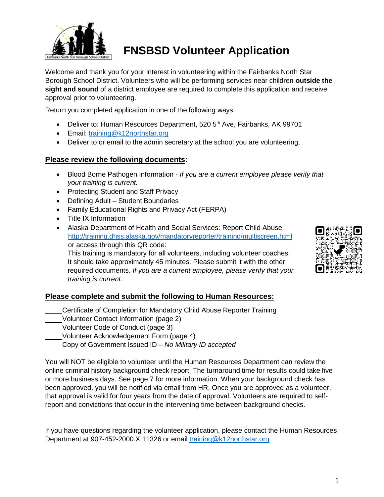

# **FNSBSD Volunteer Application**

Welcome and thank you for your interest in volunteering within the Fairbanks North Star Borough School District. Volunteers who will be performing services near children **outside the sight and sound** of a district employee are required to complete this application and receive approval prior to volunteering.

Return you completed application in one of the following ways:

- Deliver to: Human Resources Department, 520 5<sup>th</sup> Ave, Fairbanks, AK 99701
- Email: [training@k12northstar.org](mailto:training@k12northstar.org)
- Deliver to or email to the admin secretary at the school you are volunteering.

#### **Please review the following documents:**

- Blood Borne Pathogen Information *If you are a current employee please verify that your training is current.*
- Protecting Student and Staff Privacy
- Defining Adult Student Boundaries
- Family Educational Rights and Privacy Act (FERPA)
- Title IX Information
- Alaska Department of Health and Social Services: Report Child Abuse: <http://training.dhss.alaska.gov/mandatoryreporter/training/multiscreen.html> or access through this QR code:

This training is mandatory for all volunteers, including volunteer coaches. It should take approximately 45 minutes. Please submit it with the other required documents. *If you are a current employee, please verify that your training is current*.

#### **Please complete and submit the following to Human Resources:**

- Certificate of Completion for Mandatory Child Abuse Reporter Training
- Volunteer Contact Information (page 2)
- Volunteer Code of Conduct (page 3)
- Volunteer Acknowledgement Form (page 4)
	- Copy of Government Issued ID *No Military ID accepted*

You will NOT be eligible to volunteer until the Human Resources Department can review the online criminal history background check report. The turnaround time for results could take five or more business days. See page 7 for more information. When your background check has been approved, you will be notified via email from HR. Once you are approved as a volunteer, that approval is valid for four years from the date of approval. Volunteers are required to selfreport and convictions that occur in the intervening time between background checks.

If you have questions regarding the volunteer application, please contact the Human Resources Department at 907-452-2000 X 11326 or email [training@k12northstar.org.](mailto:training@k12northstar.org)

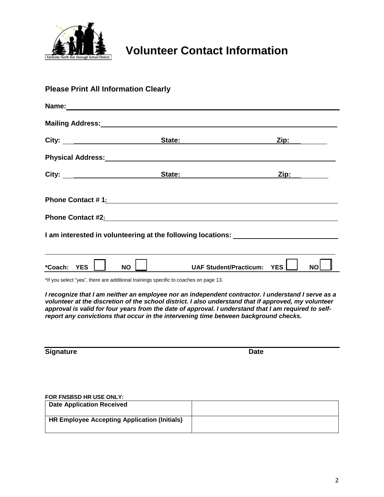

# **Volunteer Contact Information**

| <b>Please Print All Information Clearly</b>                                                                                                                                                                                                                                                                                                                                                                |  |  |       |                                                                                                                                                                                                                                     |                                                                                                                                                                                                                               |            |                                                                                                                                                                                                                                |  |  |
|------------------------------------------------------------------------------------------------------------------------------------------------------------------------------------------------------------------------------------------------------------------------------------------------------------------------------------------------------------------------------------------------------------|--|--|-------|-------------------------------------------------------------------------------------------------------------------------------------------------------------------------------------------------------------------------------------|-------------------------------------------------------------------------------------------------------------------------------------------------------------------------------------------------------------------------------|------------|--------------------------------------------------------------------------------------------------------------------------------------------------------------------------------------------------------------------------------|--|--|
|                                                                                                                                                                                                                                                                                                                                                                                                            |  |  |       | Name: We have a state of the state of the state of the state of the state of the state of the state of the state of the state of the state of the state of the state of the state of the state of the state of the state of th      |                                                                                                                                                                                                                               |            |                                                                                                                                                                                                                                |  |  |
|                                                                                                                                                                                                                                                                                                                                                                                                            |  |  |       | Mailing Address: Mailing Address: Mailing Address: Mailing Address: Mail 1997                                                                                                                                                       |                                                                                                                                                                                                                               |            |                                                                                                                                                                                                                                |  |  |
|                                                                                                                                                                                                                                                                                                                                                                                                            |  |  |       |                                                                                                                                                                                                                                     | City: City: City: City: City: City: City: City: City: City: City: City: City: City: City: City: City: City: City: City: City: City: City: City: City: City: City: City: City: City: City: City: City: City: City: City: City: |            | Zip: the control of the control of the control of the control of the control of the control of the control of the control of the control of the control of the control of the control of the control of the control of the con |  |  |
|                                                                                                                                                                                                                                                                                                                                                                                                            |  |  |       | Physical Address: Management of the Management of the Management of the Management of the Management of the Ma                                                                                                                      |                                                                                                                                                                                                                               |            |                                                                                                                                                                                                                                |  |  |
|                                                                                                                                                                                                                                                                                                                                                                                                            |  |  | City: | State:                                                                                                                                                                                                                              |                                                                                                                                                                                                                               |            | Zip: will be a set of the set of the set of the set of the set of the set of the set of the set of the set of the set of the set of the set of the set of the set of the set of the set of the set of the set of the set of th |  |  |
| Phone Contact #1: All and the Contact #1:                                                                                                                                                                                                                                                                                                                                                                  |  |  |       |                                                                                                                                                                                                                                     |                                                                                                                                                                                                                               |            |                                                                                                                                                                                                                                |  |  |
|                                                                                                                                                                                                                                                                                                                                                                                                            |  |  |       | <b>Phone Contact #2:</b> The contract of the contract of the contract of the contract of the contract of the contract of the contract of the contract of the contract of the contract of the contract of the contract of the contra |                                                                                                                                                                                                                               |            |                                                                                                                                                                                                                                |  |  |
| I am interested in volunteering at the following locations: ____________________                                                                                                                                                                                                                                                                                                                           |  |  |       |                                                                                                                                                                                                                                     |                                                                                                                                                                                                                               |            |                                                                                                                                                                                                                                |  |  |
|                                                                                                                                                                                                                                                                                                                                                                                                            |  |  |       |                                                                                                                                                                                                                                     |                                                                                                                                                                                                                               |            |                                                                                                                                                                                                                                |  |  |
| *Coach: YES                                                                                                                                                                                                                                                                                                                                                                                                |  |  | NO.   |                                                                                                                                                                                                                                     | <b>UAF Student/Practicum:</b>                                                                                                                                                                                                 | <b>YES</b> | <b>NO</b>                                                                                                                                                                                                                      |  |  |
| *If you select "yes", there are additional trainings specific to coaches on page 13.                                                                                                                                                                                                                                                                                                                       |  |  |       |                                                                                                                                                                                                                                     |                                                                                                                                                                                                                               |            |                                                                                                                                                                                                                                |  |  |
| I recognize that I am neither an employee nor an independent contractor. I understand I serve as a<br>volunteer at the discretion of the school district. I also understand that if approved, my volunteer<br>approval is valid for four years from the date of approval. I understand that I am required to self-<br>report any convictions that occur in the intervening time between background checks. |  |  |       |                                                                                                                                                                                                                                     |                                                                                                                                                                                                                               |            |                                                                                                                                                                                                                                |  |  |
| <b>Signature</b>                                                                                                                                                                                                                                                                                                                                                                                           |  |  |       |                                                                                                                                                                                                                                     | <b>Date</b>                                                                                                                                                                                                                   |            |                                                                                                                                                                                                                                |  |  |
|                                                                                                                                                                                                                                                                                                                                                                                                            |  |  |       |                                                                                                                                                                                                                                     |                                                                                                                                                                                                                               |            |                                                                                                                                                                                                                                |  |  |

#### **FOR FNSBSD HR USE ONLY:**

| <b>Date Application Received</b>             |  |
|----------------------------------------------|--|
| HR Employee Accepting Application (Initials) |  |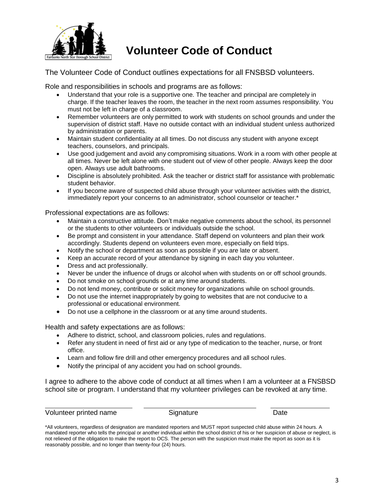

## **Volunteer Code of Conduct**

The Volunteer Code of Conduct outlines expectations for all FNSBSD volunteers.

Role and responsibilities in schools and programs are as follows:

- Understand that your role is a supportive one. The teacher and principal are completely in charge. If the teacher leaves the room, the teacher in the next room assumes responsibility. You must not be left in charge of a classroom.
- Remember volunteers are only permitted to work with students on school grounds and under the supervision of district staff. Have no outside contact with an individual student unless authorized by administration or parents.
- Maintain student confidentiality at all times. Do not discuss any student with anyone except teachers, counselors, and principals.
- Use good judgement and avoid any compromising situations. Work in a room with other people at all times. Never be left alone with one student out of view of other people. Always keep the door open. Always use adult bathrooms.
- Discipline is absolutely prohibited. Ask the teacher or district staff for assistance with problematic student behavior.
- If you become aware of suspected child abuse through your volunteer activities with the district, immediately report your concerns to an administrator, school counselor or teacher.\*

Professional expectations are as follows:

- Maintain a constructive attitude. Don't make negative comments about the school, its personnel or the students to other volunteers or individuals outside the school.
- Be prompt and consistent in your attendance. Staff depend on volunteers and plan their work accordingly. Students depend on volunteers even more, especially on field trips.
- Notify the school or department as soon as possible if you are late or absent.
- Keep an accurate record of your attendance by signing in each day you volunteer.
- Dress and act professionally.
- Never be under the influence of drugs or alcohol when with students on or off school grounds.
- Do not smoke on school grounds or at any time around students.
- Do not lend money, contribute or solicit money for organizations while on school grounds.
- Do not use the internet inappropriately by going to websites that are not conducive to a professional or educational environment.
- Do not use a cellphone in the classroom or at any time around students.

Health and safety expectations are as follows:

- Adhere to district, school, and classroom policies, rules and regulations.
- Refer any student in need of first aid or any type of medication to the teacher, nurse, or front office.
- Learn and follow fire drill and other emergency procedures and all school rules.
- Notify the principal of any accident you had on school grounds.

I agree to adhere to the above code of conduct at all times when I am a volunteer at a FNSBSD school site or program. I understand that my volunteer privileges can be revoked at any time.

Volunteer printed name Signature Signature Date

<sup>\*</sup>All volunteers, regardless of designation are mandated reporters and MUST report suspected child abuse within 24 hours. A mandated reporter who tells the principal or another individual within the school district of his or her suspicion of abuse or neglect, is not relieved of the obligation to make the report to OCS. The person with the suspicion must make the report as soon as it is reasonably possible, and no longer than twenty-four (24) hours.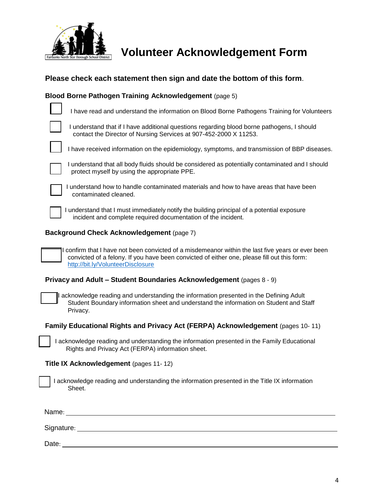

**Volunteer Acknowledgement Form**

#### **Please check each statement then sign and date the bottom of this form**.

#### **Blood Borne Pathogen Training Acknowledgement** (page 5)

| I have read and understand the information on Blood Borne Pathogens Training for Volunteers                                                                                                                                           |  |  |  |  |  |  |
|---------------------------------------------------------------------------------------------------------------------------------------------------------------------------------------------------------------------------------------|--|--|--|--|--|--|
| I understand that if I have additional questions regarding blood borne pathogens, I should<br>contact the Director of Nursing Services at 907-452-2000 X 11253.                                                                       |  |  |  |  |  |  |
| I have received information on the epidemiology, symptoms, and transmission of BBP diseases.                                                                                                                                          |  |  |  |  |  |  |
| I understand that all body fluids should be considered as potentially contaminated and I should<br>protect myself by using the appropriate PPE.                                                                                       |  |  |  |  |  |  |
| I understand how to handle contaminated materials and how to have areas that have been<br>contaminated cleaned.                                                                                                                       |  |  |  |  |  |  |
| I understand that I must immediately notify the building principal of a potential exposure<br>incident and complete required documentation of the incident.                                                                           |  |  |  |  |  |  |
| <b>Background Check Acknowledgement (page 7)</b>                                                                                                                                                                                      |  |  |  |  |  |  |
| I confirm that I have not been convicted of a misdemeanor within the last five years or ever been<br>convicted of a felony. If you have been convicted of either one, please fill out this form:<br>http://bit.ly/VolunteerDisclosure |  |  |  |  |  |  |
| Privacy and Adult - Student Boundaries Acknowledgement (pages 8 - 9)                                                                                                                                                                  |  |  |  |  |  |  |
| I acknowledge reading and understanding the information presented in the Defining Adult<br>Student Boundary information sheet and understand the information on Student and Staff<br>Privacy.                                         |  |  |  |  |  |  |
| Family Educational Rights and Privacy Act (FERPA) Acknowledgement (pages 10-11)                                                                                                                                                       |  |  |  |  |  |  |
| I acknowledge reading and understanding the information presented in the Family Educational<br>Rights and Privacy Act (FERPA) information sheet.                                                                                      |  |  |  |  |  |  |
| Title IX Acknowledgement (pages 11-12)                                                                                                                                                                                                |  |  |  |  |  |  |
| I acknowledge reading and understanding the information presented in the Title IX information<br>Sheet.                                                                                                                               |  |  |  |  |  |  |
| Name:                                                                                                                                                                                                                                 |  |  |  |  |  |  |

Signature: <u>Contract Contract Contract Contract Contract Contract Contract Contract Contract Contract Contract Contract Contract Contract Contract Contract Contract Contract Contract Contract Contract Contract Contract Con</u>

Date: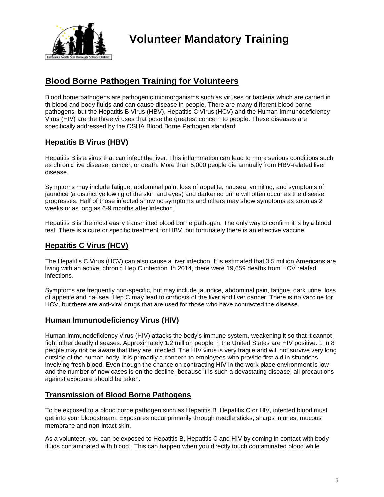

## **Blood Borne Pathogen Training for Volunteers**

Blood borne pathogens are pathogenic microorganisms such as viruses or bacteria which are carried in th blood and body fluids and can cause disease in people. There are many different blood borne pathogens, but the Hepatitis B Virus (HBV), Hepatitis C Virus (HCV) and the Human Immunodeficiency Virus (HIV) are the three viruses that pose the greatest concern to people. These diseases are specifically addressed by the OSHA Blood Borne Pathogen standard.

### **Hepatitis B Virus (HBV)**

Hepatitis B is a virus that can infect the liver. This inflammation can lead to more serious conditions such as chronic live disease, cancer, or death. More than 5,000 people die annually from HBV-related liver disease.

Symptoms may include fatigue, abdominal pain, loss of appetite, nausea, vomiting, and symptoms of jaundice (a distinct yellowing of the skin and eyes) and darkened urine will often occur as the disease progresses. Half of those infected show no symptoms and others may show symptoms as soon as 2 weeks or as long as 6-9 months after infection.

Hepatitis B is the most easily transmitted blood borne pathogen. The only way to confirm it is by a blood test. There is a cure or specific treatment for HBV, but fortunately there is an effective vaccine.

#### **Hepatitis C Virus (HCV)**

The Hepatitis C Virus (HCV) can also cause a liver infection. It is estimated that 3.5 million Americans are living with an active, chronic Hep C infection. In 2014, there were 19,659 deaths from HCV related infections.

Symptoms are frequently non-specific, but may include jaundice, abdominal pain, fatigue, dark urine, loss of appetite and nausea. Hep C may lead to cirrhosis of the liver and liver cancer. There is no vaccine for HCV, but there are anti-viral drugs that are used for those who have contracted the disease.

#### **Human Immunodeficiency Virus (HIV)**

Human Immunodeficiency Virus (HIV) attacks the body's immune system, weakening it so that it cannot fight other deadly diseases. Approximately 1.2 million people in the United States are HIV positive. 1 in 8 people may not be aware that they are infected. The HIV virus is very fragile and will not survive very long outside of the human body. It is primarily a concern to employees who provide first aid in situations involving fresh blood. Even though the chance on contracting HIV in the work place environment is low and the number of new cases is on the decline, because it is such a devastating disease, all precautions against exposure should be taken.

#### **Transmission of Blood Borne Pathogens**

To be exposed to a blood borne pathogen such as Hepatitis B, Hepatitis C or HIV, infected blood must get into your bloodstream. Exposures occur primarily through needle sticks, sharps injuries, mucous membrane and non-intact skin.

As a volunteer, you can be exposed to Hepatitis B, Hepatitis C and HIV by coming in contact with body fluids contaminated with blood. This can happen when you directly touch contaminated blood while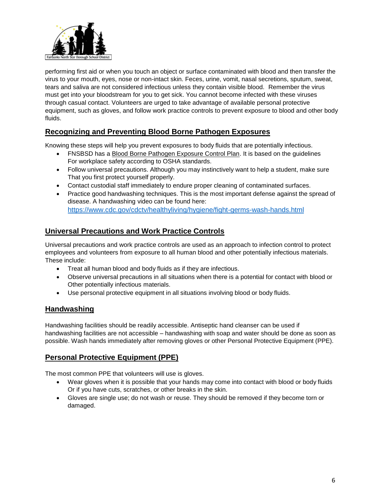

performing first aid or when you touch an object or surface contaminated with blood and then transfer the virus to your mouth, eyes, nose or non-intact skin. Feces, urine, vomit, nasal secretions, sputum, sweat, tears and saliva are not considered infectious unless they contain visible blood. Remember the virus must get into your bloodstream for you to get sick. You cannot become infected with these viruses through casual contact. Volunteers are urged to take advantage of available personal protective equipment, such as gloves, and follow work practice controls to prevent exposure to blood and other body fluids.

#### **Recognizing and Preventing Blood Borne Pathogen Exposures**

Knowing these steps will help you prevent exposures to body fluids that are potentially infectious.

- FNSBSD has a Blood Borne Pathogen Exposure Control Plan. It is based on the guidelines For workplace safety according to OSHA standards.
- Follow universal precautions. Although you may instinctively want to help a student, make sure That you first protect yourself properly.
- Contact custodial staff immediately to endure proper cleaning of contaminated surfaces.
- Practice good handwashing techniques. This is the most important defense against the spread of disease. A handwashing video can be found here: <https://www.cdc.gov/cdctv/healthyliving/hygiene/fight-germs-wash-hands.html>

#### **Universal Precautions and Work Practice Controls**

Universal precautions and work practice controls are used as an approach to infection control to protect employees and volunteers from exposure to all human blood and other potentially infectious materials. These include:

- Treat all human blood and body fluids as if they are infectious.
- Observe universal precautions in all situations when there is a potential for contact with blood or Other potentially infectious materials.
- Use personal protective equipment in all situations involving blood or body fluids.

#### **Handwashing**

Handwashing facilities should be readily accessible. Antiseptic hand cleanser can be used if handwashing facilities are not accessible – handwashing with soap and water should be done as soon as possible. Wash hands immediately after removing gloves or other Personal Protective Equipment (PPE).

#### **Personal Protective Equipment (PPE)**

The most common PPE that volunteers will use is gloves.

- Wear gloves when it is possible that your hands may come into contact with blood or body fluids Or if you have cuts, scratches, or other breaks in the skin.
- Gloves are single use; do not wash or reuse. They should be removed if they become torn or damaged.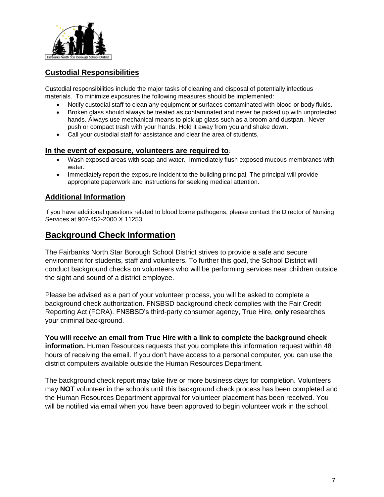

#### **Custodial Responsibilities**

Custodial responsibilities include the major tasks of cleaning and disposal of potentially infectious materials. To minimize exposures the following measures should be implemented:

- Notify custodial staff to clean any equipment or surfaces contaminated with blood or body fluids.
- Broken glass should always be treated as contaminated and never be picked up with unprotected hands. Always use mechanical means to pick up glass such as a broom and dustpan. Never push or compact trash with your hands. Hold it away from you and shake down.
- Call your custodial staff for assistance and clear the area of students.

#### **In the event of exposure, volunteers are required to**:

- Wash exposed areas with soap and water. Immediately flush exposed mucous membranes with water.
- Immediately report the exposure incident to the building principal. The principal will provide appropriate paperwork and instructions for seeking medical attention.

#### **Additional Information**

If you have additional questions related to blood borne pathogens, please contact the Director of Nursing Services at 907-452-2000 X 11253.

## **Background Check Information**

The Fairbanks North Star Borough School District strives to provide a safe and secure environment for students, staff and volunteers. To further this goal, the School District will conduct background checks on volunteers who will be performing services near children outside the sight and sound of a district employee.

Please be advised as a part of your volunteer process, you will be asked to complete a background check authorization. FNSBSD background check complies with the Fair Credit Reporting Act (FCRA). FNSBSD's third-party consumer agency, True Hire, **only** researches your criminal background.

**You will receive an email from True Hire with a link to complete the background check information.** Human Resources requests that you complete this information request within 48 hours of receiving the email. If you don't have access to a personal computer, you can use the district computers available outside the Human Resources Department.

The background check report may take five or more business days for completion. Volunteers may **NOT** volunteer in the schools until this background check process has been completed and the Human Resources Department approval for volunteer placement has been received. You will be notified via email when you have been approved to begin volunteer work in the school.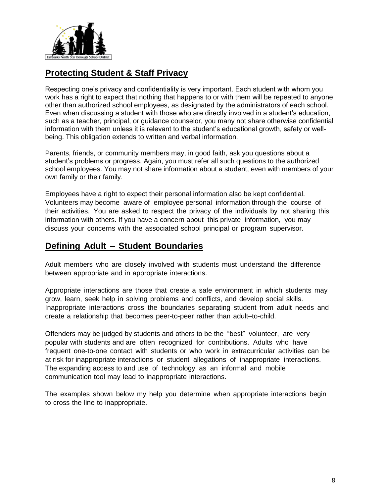

## **Protecting Student & Staff Privacy**

Respecting one's privacy and confidentiality is very important. Each student with whom you work has a right to expect that nothing that happens to or with them will be repeated to anyone other than authorized school employees, as designated by the administrators of each school. Even when discussing a student with those who are directly involved in a student's education, such as a teacher, principal, or guidance counselor, you many not share otherwise confidential information with them unless it is relevant to the student's educational growth, safety or wellbeing. This obligation extends to written and verbal information.

Parents, friends, or community members may, in good faith, ask you questions about a student's problems or progress. Again, you must refer all such questions to the authorized school employees. You may not share information about a student, even with members of your own family or their family.

Employees have a right to expect their personal information also be kept confidential. Volunteers may become aware of employee personal information through the course of their activities. You are asked to respect the privacy of the individuals by not sharing this information with others. If you have a concern about this private information, you may discuss your concerns with the associated school principal or program supervisor.

## **Defining Adult – Student Boundaries**

Adult members who are closely involved with students must understand the difference between appropriate and in appropriate interactions.

Appropriate interactions are those that create a safe environment in which students may grow, learn, seek help in solving problems and conflicts, and develop social skills. Inappropriate interactions cross the boundaries separating student from adult needs and create a relationship that becomes peer-to-peer rather than adult–to-child.

Offenders may be judged by students and others to be the "best" volunteer, are very popular with students and are often recognized for contributions. Adults who have frequent one-to-one contact with students or who work in extracurricular activities can be at risk for inappropriate interactions or student allegations of inappropriate interactions. The expanding access to and use of technology as an informal and mobile communication tool may lead to inappropriate interactions.

The examples shown below my help you determine when appropriate interactions begin to cross the line to inappropriate.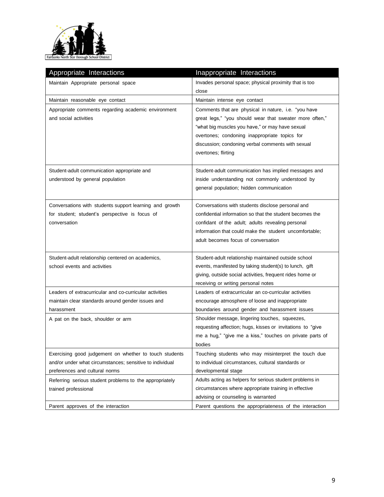

| Appropriate Interactions                                 | Inappropriate Interactions                                  |
|----------------------------------------------------------|-------------------------------------------------------------|
| Maintain Appropriate personal space                      | Invades personal space; physical proximity that is too      |
|                                                          | close                                                       |
| Maintain reasonable eye contact                          | Maintain intense eye contact                                |
| Appropriate comments regarding academic environment      | Comments that are physical in nature, i.e. "you have        |
| and social activities                                    | great legs," "you should wear that sweater more often,"     |
|                                                          | "what big muscles you have," or may have sexual             |
|                                                          | overtones; condoning inappropriate topics for               |
|                                                          | discussion; condoning verbal comments with sexual           |
|                                                          | overtones; flirting                                         |
|                                                          |                                                             |
| Student-adult communication appropriate and              | Student-adult communication has implied messages and        |
| understood by general population                         | inside understanding not commonly understood by             |
|                                                          | general population; hidden communication                    |
| Conversations with students support learning and growth  | Conversations with students disclose personal and           |
| for student; student's perspective is focus of           | confidential information so that the student becomes the    |
| conversation                                             | confidant of the adult; adults revealing personal           |
|                                                          | information that could make the student uncomfortable;      |
|                                                          | adult becomes focus of conversation                         |
|                                                          |                                                             |
| Student-adult relationship centered on academics,        | Student-adult relationship maintained outside school        |
| school events and activities                             | events, manifested by taking student(s) to lunch, gift      |
|                                                          | giving, outside social activities, frequent rides home or   |
|                                                          | receiving or writing personal notes                         |
| Leaders of extracurricular and co-curricular activities  | Leaders of extracurricular an co-curricular activities      |
| maintain clear standards around gender issues and        | encourage atmosphere of loose and inappropriate             |
| harassment                                               | boundaries around gender and harassment issues              |
| A pat on the back, shoulder or arm                       | Shoulder message, lingering touches, squeezes,              |
|                                                          | requesting affection; hugs, kisses or invitations to "give" |
|                                                          | me a hug," "give me a kiss," touches on private parts of    |
|                                                          | bodies                                                      |
| Exercising good judgement on whether to touch students   | Touching students who may misinterpret the touch due        |
| and/or under what circumstances; sensitive to individual | to individual circumstances, cultural standards or          |
| preferences and cultural norms                           | developmental stage                                         |
| Referring serious student problems to the appropriately  | Adults acting as helpers for serious student problems in    |
| trained professional                                     | circumstances where appropriate training in effective       |
|                                                          | advising or counseling is warranted                         |
| Parent approves of the interaction                       | Parent questions the appropriateness of the interaction     |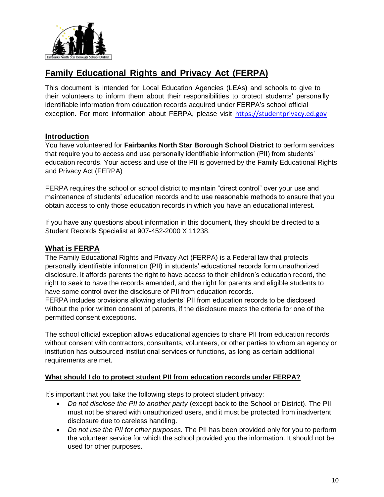

## **Family Educational Rights and Privacy Act (FERPA)**

This document is intended for Local Education Agencies (LEAs) and schools to give to their volunteers to inform them about their responsibilities to protect students' persona lly identifiable information from education records acquired under FERPA's school official exception. For more information about FERPA, please visit [https://studentprivacy.ed.gov](https://studentprivacy.ed.gov/)

#### **Introduction**

You have volunteered for **Fairbanks North Star Borough School District** to perform services that require you to access and use personally identifiable information (PII) from students' education records. Your access and use of the PII is governed by the Family Educational Rights and Privacy Act (FERPA)

FERPA requires the school or school district to maintain "direct control" over your use and maintenance of students' education records and to use reasonable methods to ensure that you obtain access to only those education records in which you have an educational interest.

If you have any questions about information in this document, they should be directed to a Student Records Specialist at 907-452-2000 X 11238.

#### **What is FERPA**

The Family Educational Rights and Privacy Act (FERPA) is a Federal law that protects personally identifiable information (PII) in students' educational records form unauthorized disclosure. It affords parents the right to have access to their children's education record, the right to seek to have the records amended, and the right for parents and eligible students to have some control over the disclosure of PII from education records.

FERPA includes provisions allowing students' PII from education records to be disclosed without the prior written consent of parents, if the disclosure meets the criteria for one of the permitted consent exceptions.

The school official exception allows educational agencies to share PII from education records without consent with contractors, consultants, volunteers, or other parties to whom an agency or institution has outsourced institutional services or functions, as long as certain additional requirements are met.

#### **What should I do to protect student PII from education records under FERPA?**

It's important that you take the following steps to protect student privacy:

- *Do not disclose the PII to another party* (except back to the School or District). The PII must not be shared with unauthorized users, and it must be protected from inadvertent disclosure due to careless handling.
- *Do not use the PII for other purposes.* The PII has been provided only for you to perform the volunteer service for which the school provided you the information. It should not be used for other purposes.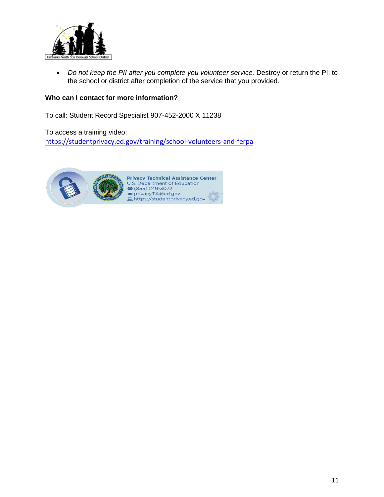

• Do not keep the PII after you complete you volunteer service. Destroy or return the PII to the school or district after completion of the service that you provided.

#### **Who can I contact for more information?**

To call: Student Record Specialist 907-452-2000 X 11238

To access a training video: <https://studentprivacy.ed.gov/training/school-volunteers-and-ferpa>

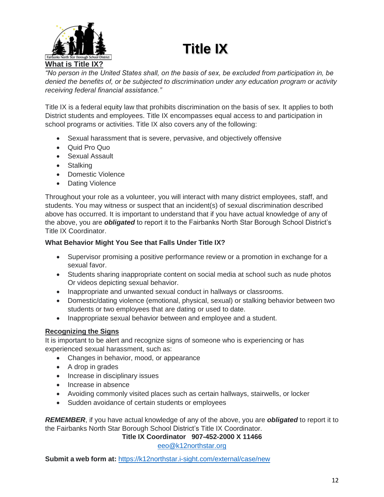# **Title IX**



*"No person in the United States shall, on the basis of sex, be excluded from participation in, be denied the benefits of, or be subjected to discrimination under any education program or activity receiving federal financial assistance."*

Title IX is a federal equity law that prohibits discrimination on the basis of sex. It applies to both District students and employees. Title IX encompasses equal access to and participation in school programs or activities. Title IX also covers any of the following:

- Sexual harassment that is severe, pervasive, and objectively offensive
- Quid Pro Quo
- **•** Sexual Assault
- Stalking
- Domestic Violence
- Dating Violence

Throughout your role as a volunteer, you will interact with many district employees, staff, and students. You may witness or suspect that an incident(s) of sexual discrimination described above has occurred. It is important to understand that if you have actual knowledge of any of the above, you are *obligated* to report it to the Fairbanks North Star Borough School District's Title IX Coordinator.

#### **What Behavior Might You See that Falls Under Title IX?**

- Supervisor promising a positive performance review or a promotion in exchange for a sexual favor.
- Students sharing inappropriate content on social media at school such as nude photos Or videos depicting sexual behavior.
- Inappropriate and unwanted sexual conduct in hallways or classrooms.
- Domestic/dating violence (emotional, physical, sexual) or stalking behavior between two students or two employees that are dating or used to date.
- Inappropriate sexual behavior between and employee and a student.

#### **Recognizing the Signs**

It is important to be alert and recognize signs of someone who is experiencing or has experienced sexual harassment, such as:

- Changes in behavior, mood, or appearance
- A drop in grades
- Increase in disciplinary issues
- Increase in absence
- Avoiding commonly visited places such as certain hallways, stairwells, or locker
- Sudden avoidance of certain students or employees

*REMEMBER*, if you have actual knowledge of any of the above, you are *obligated* to report it to the Fairbanks North Star Borough School District's Title IX Coordinator.

**Title IX Coordinator 907-452-2000 X 11466**

[eeo@k12northstar.org](mailto:eeo@k12northstar.org)

**Submit a web form at:** <https://k12northstar.i-sight.com/external/case/new>